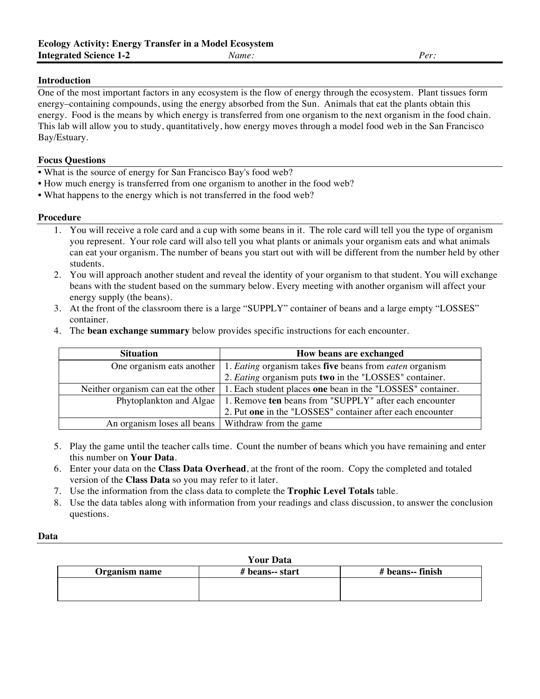# **Introduction**

One of the most important factors in any ecosystem is the flow of energy through the ecosystem. Plant tissues form energy–containing compounds, using the energy absorbed from the Sun. Animals that eat the plants obtain this energy. Food is the means by which energy is transferred from one organism to the next organism in the food chain. This lab will allow you to study, quantitatively, how energy moves through a model food web in the San Francisco Bay/Estuary.

## **Focus Questions**

- What is the source of energy for San Francisco Bay's food web?
- How much energy is transferred from one organism to another in the food web?
- What happens to the energy which is not transferred in the food web?

### **Procedure**

- 1. You will receive a role card and a cup with some beans in it. The role card will tell you the type of organism you represent. Your role card will also tell you what plants or animals your organism eats and what animals can eat your organism. The number of beans you start out with will be different from the number held by other students.
- 2. You will approach another student and reveal the identity of your organism to that student. You will exchange beans with the student based on the summary below. Every meeting with another organism will affect your energy supply (the beans).
- 3. At the front of the classroom there is a large "SUPPLY" container of beans and a large empty "LOSSES" container.
- 4. The **bean exchange summary** below provides specific instructions for each encounter.

| <b>Situation</b>                                     | How beans are exchanged                                                                                  |  |  |  |  |
|------------------------------------------------------|----------------------------------------------------------------------------------------------------------|--|--|--|--|
|                                                      | One organism eats another $\vert 1$ . <i>Eating</i> organism takes five beans from <i>eaten</i> organism |  |  |  |  |
|                                                      | 2. Eating organism puts two in the "LOSSES" container.                                                   |  |  |  |  |
|                                                      | Neither organism can eat the other   1. Each student places one bean in the "LOSSES" container.          |  |  |  |  |
|                                                      | Phytoplankton and Algae   1. Remove ten beans from "SUPPLY" after each encounter                         |  |  |  |  |
|                                                      | 2. Put one in the "LOSSES" container after each encounter                                                |  |  |  |  |
| An organism loses all beans   Withdraw from the game |                                                                                                          |  |  |  |  |

- 5. Play the game until the teacher calls time. Count the number of beans which you have remaining and enter this number on **Your Data**.
- 6. Enter your data on the **Class Data Overhead**, at the front of the room. Copy the completed and totaled version of the **Class Data** so you may refer to it later.
- 7. Use the information from the class data to complete the **Trophic Level Totals** table.
- 8. Use the data tables along with information from your readings and class discussion, to answer the conclusion questions.

| <b>Your Data</b> |                 |                  |  |  |  |  |  |
|------------------|-----------------|------------------|--|--|--|--|--|
| Organism name    | # beans-- start | # beans-- finish |  |  |  |  |  |
|                  |                 |                  |  |  |  |  |  |
|                  |                 |                  |  |  |  |  |  |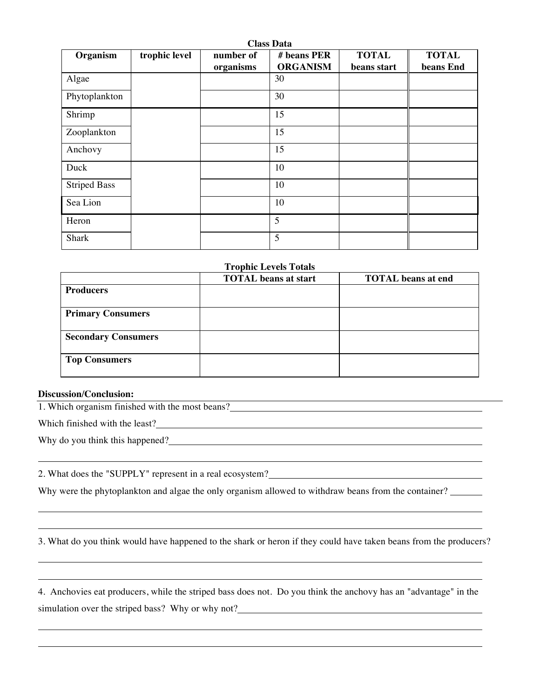| Organism            | trophic level | number of<br>organisms | # beans PER<br><b>ORGANISM</b> | <b>TOTAL</b><br>beans start | <b>TOTAL</b><br>beans End |
|---------------------|---------------|------------------------|--------------------------------|-----------------------------|---------------------------|
| Algae               |               |                        | 30                             |                             |                           |
| Phytoplankton       |               |                        | 30                             |                             |                           |
| Shrimp              |               |                        | 15                             |                             |                           |
| Zooplankton         |               |                        | 15                             |                             |                           |
| Anchovy             |               |                        | 15                             |                             |                           |
| Duck                |               |                        | 10                             |                             |                           |
| <b>Striped Bass</b> |               |                        | 10                             |                             |                           |
| Sea Lion            |               |                        | 10                             |                             |                           |
| Heron               |               |                        | 5                              |                             |                           |
| <b>Shark</b>        |               |                        | 5                              |                             |                           |

### **Trophic Levels Totals**

|                            | <b>TOTAL</b> beans at start | <b>TOTAL</b> beans at end |
|----------------------------|-----------------------------|---------------------------|
| <b>Producers</b>           |                             |                           |
| <b>Primary Consumers</b>   |                             |                           |
| <b>Secondary Consumers</b> |                             |                           |
| <b>Top Consumers</b>       |                             |                           |

 $\overline{\phantom{a}}$ 

### **Discussion/Conclusion:**

1. Which organism finished with the most beans?

Which finished with the least?

Why do you think this happened?

2. What does the "SUPPLY" represent in a real ecosystem?

Why were the phytoplankton and algae the only organism allowed to withdraw beans from the container?

3. What do you think would have happened to the shark or heron if they could have taken beans from the producers?

4. Anchovies eat producers, while the striped bass does not. Do you think the anchovy has an "advantage" in the simulation over the striped bass? Why or why not?